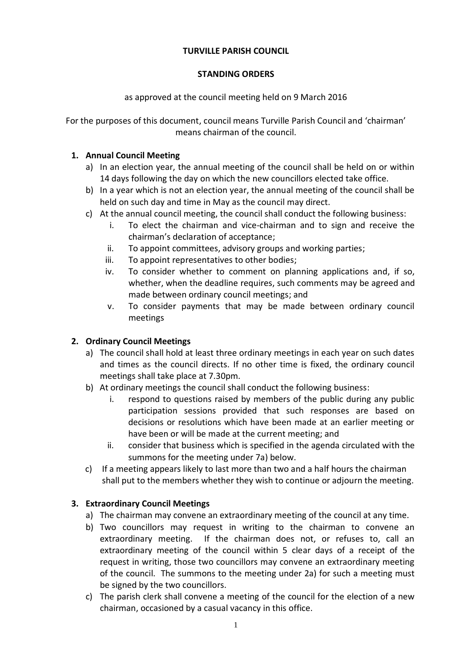### **TURVILLE PARISH COUNCIL**

### **STANDING ORDERS**

### as approved at the council meeting held on 9 March 2016

For the purposes of this document, council means Turville Parish Council and 'chairman' means chairman of the council.

### **1. Annual Council Meeting**

- a) In an election year, the annual meeting of the council shall be held on or within 14 days following the day on which the new councillors elected take office.
- b) In a year which is not an election year, the annual meeting of the council shall be held on such day and time in May as the council may direct.
- c) At the annual council meeting, the council shall conduct the following business:
	- i. To elect the chairman and vice-chairman and to sign and receive the chairman's declaration of acceptance;
	- ii. To appoint committees, advisory groups and working parties;
	- iii. To appoint representatives to other bodies;
	- iv. To consider whether to comment on planning applications and, if so, whether, when the deadline requires, such comments may be agreed and made between ordinary council meetings; and
	- v. To consider payments that may be made between ordinary council meetings

## **2. Ordinary Council Meetings**

- a) The council shall hold at least three ordinary meetings in each year on such dates and times as the council directs. If no other time is fixed, the ordinary council meetings shall take place at 7.30pm.
- b) At ordinary meetings the council shall conduct the following business:
	- i. respond to questions raised by members of the public during any public participation sessions provided that such responses are based on decisions or resolutions which have been made at an earlier meeting or have been or will be made at the current meeting; and
	- ii. consider that business which is specified in the agenda circulated with the summons for the meeting under 7a) below.
- c) If a meeting appears likely to last more than two and a half hours the chairman shall put to the members whether they wish to continue or adjourn the meeting.

## **3. Extraordinary Council Meetings**

- a) The chairman may convene an extraordinary meeting of the council at any time.
- b) Two councillors may request in writing to the chairman to convene an extraordinary meeting. If the chairman does not, or refuses to, call an extraordinary meeting of the council within 5 clear days of a receipt of the request in writing, those two councillors may convene an extraordinary meeting of the council. The summons to the meeting under 2a) for such a meeting must be signed by the two councillors.
- c) The parish clerk shall convene a meeting of the council for the election of a new chairman, occasioned by a casual vacancy in this office.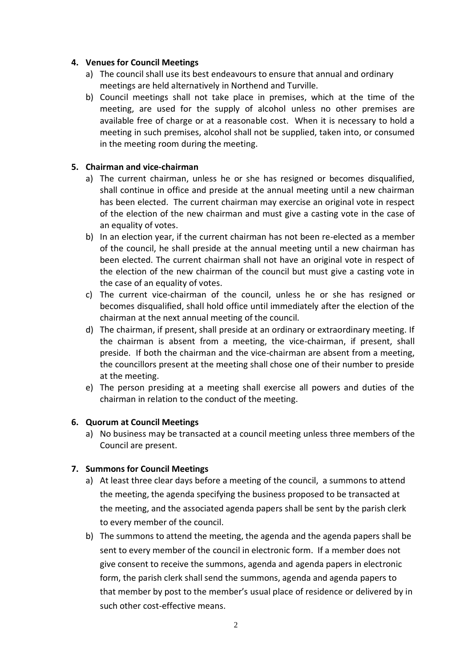### **4. Venues for Council Meetings**

- a) The council shall use its best endeavours to ensure that annual and ordinary meetings are held alternatively in Northend and Turville.
- b) Council meetings shall not take place in premises, which at the time of the meeting, are used for the supply of alcohol unless no other premises are available free of charge or at a reasonable cost. When it is necessary to hold a meeting in such premises, alcohol shall not be supplied, taken into, or consumed in the meeting room during the meeting.

### **5. Chairman and vice-chairman**

- a) The current chairman, unless he or she has resigned or becomes disqualified, shall continue in office and preside at the annual meeting until a new chairman has been elected. The current chairman may exercise an original vote in respect of the election of the new chairman and must give a casting vote in the case of an equality of votes.
- b) In an election year, if the current chairman has not been re-elected as a member of the council, he shall preside at the annual meeting until a new chairman has been elected. The current chairman shall not have an original vote in respect of the election of the new chairman of the council but must give a casting vote in the case of an equality of votes.
- c) The current vice-chairman of the council, unless he or she has resigned or becomes disqualified, shall hold office until immediately after the election of the chairman at the next annual meeting of the council.
- d) The chairman, if present, shall preside at an ordinary or extraordinary meeting. If the chairman is absent from a meeting, the vice-chairman, if present, shall preside. If both the chairman and the vice-chairman are absent from a meeting, the councillors present at the meeting shall chose one of their number to preside at the meeting.
- e) The person presiding at a meeting shall exercise all powers and duties of the chairman in relation to the conduct of the meeting.

## **6. Quorum at Council Meetings**

a) No business may be transacted at a council meeting unless three members of the Council are present.

## **7. Summons for Council Meetings**

- a) At least three clear days before a meeting of the council, a summons to attend the meeting, the agenda specifying the business proposed to be transacted at the meeting, and the associated agenda papers shall be sent by the parish clerk to every member of the council.
- b) The summons to attend the meeting, the agenda and the agenda papers shall be sent to every member of the council in electronic form. If a member does not give consent to receive the summons, agenda and agenda papers in electronic form, the parish clerk shall send the summons, agenda and agenda papers to that member by post to the member's usual place of residence or delivered by in such other cost-effective means.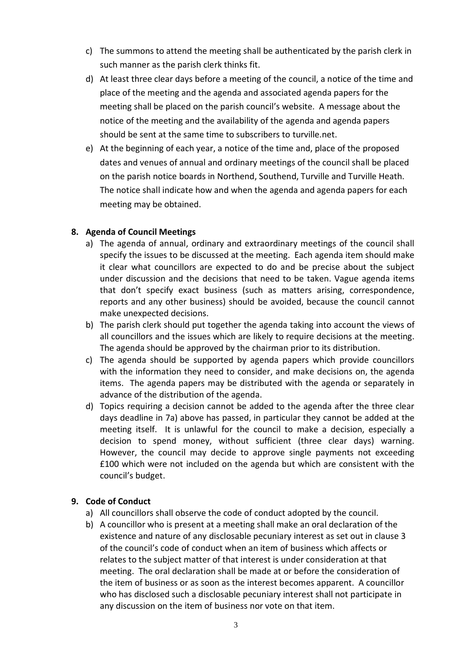- c) The summons to attend the meeting shall be authenticated by the parish clerk in such manner as the parish clerk thinks fit.
- d) At least three clear days before a meeting of the council, a notice of the time and place of the meeting and the agenda and associated agenda papers for the meeting shall be placed on the parish council's website. A message about the notice of the meeting and the availability of the agenda and agenda papers should be sent at the same time to subscribers to turville.net.
- e) At the beginning of each year, a notice of the time and, place of the proposed dates and venues of annual and ordinary meetings of the council shall be placed on the parish notice boards in Northend, Southend, Turville and Turville Heath. The notice shall indicate how and when the agenda and agenda papers for each meeting may be obtained.

## **8. Agenda of Council Meetings**

- a) The agenda of annual, ordinary and extraordinary meetings of the council shall specify the issues to be discussed at the meeting. Each agenda item should make it clear what councillors are expected to do and be precise about the subject under discussion and the decisions that need to be taken. Vague agenda items that don't specify exact business (such as matters arising, correspondence, reports and any other business) should be avoided, because the council cannot make unexpected decisions.
- b) The parish clerk should put together the agenda taking into account the views of all councillors and the issues which are likely to require decisions at the meeting. The agenda should be approved by the chairman prior to its distribution.
- c) The agenda should be supported by agenda papers which provide councillors with the information they need to consider, and make decisions on, the agenda items. The agenda papers may be distributed with the agenda or separately in advance of the distribution of the agenda.
- d) Topics requiring a decision cannot be added to the agenda after the three clear days deadline in 7a) above has passed, in particular they cannot be added at the meeting itself. It is unlawful for the council to make a decision, especially a decision to spend money, without sufficient (three clear days) warning. However, the council may decide to approve single payments not exceeding £100 which were not included on the agenda but which are consistent with the council's budget.

#### **9. Code of Conduct**

- a) All councillors shall observe the code of conduct adopted by the council.
- b) A councillor who is present at a meeting shall make an oral declaration of the existence and nature of any disclosable pecuniary interest as set out in clause 3 of the council's code of conduct when an item of business which affects or relates to the subject matter of that interest is under consideration at that meeting. The oral declaration shall be made at or before the consideration of the item of business or as soon as the interest becomes apparent. A councillor who has disclosed such a disclosable pecuniary interest shall not participate in any discussion on the item of business nor vote on that item.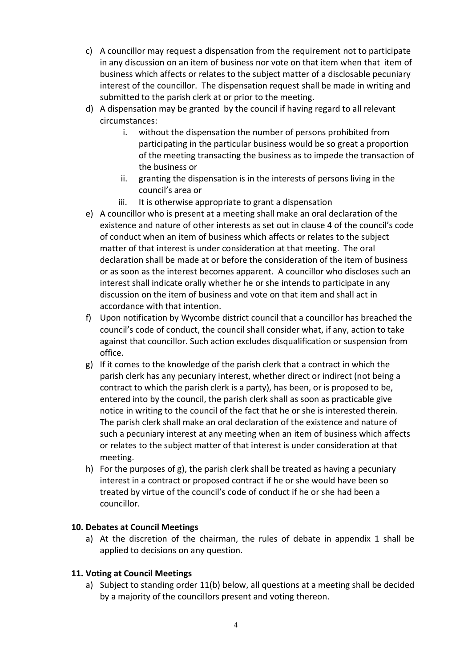- c) A councillor may request a dispensation from the requirement not to participate in any discussion on an item of business nor vote on that item when that item of business which affects or relates to the subject matter of a disclosable pecuniary interest of the councillor. The dispensation request shall be made in writing and submitted to the parish clerk at or prior to the meeting.
- d) A dispensation may be granted by the council if having regard to all relevant circumstances:
	- i. without the dispensation the number of persons prohibited from participating in the particular business would be so great a proportion of the meeting transacting the business as to impede the transaction of the business or
	- ii. granting the dispensation is in the interests of persons living in the council's area or
	- iii. It is otherwise appropriate to grant a dispensation
- e) A councillor who is present at a meeting shall make an oral declaration of the existence and nature of other interests as set out in clause 4 of the council's code of conduct when an item of business which affects or relates to the subject matter of that interest is under consideration at that meeting. The oral declaration shall be made at or before the consideration of the item of business or as soon as the interest becomes apparent. A councillor who discloses such an interest shall indicate orally whether he or she intends to participate in any discussion on the item of business and vote on that item and shall act in accordance with that intention.
- f) Upon notification by Wycombe district council that a councillor has breached the council's code of conduct, the council shall consider what, if any, action to take against that councillor. Such action excludes disqualification or suspension from office.
- g) If it comes to the knowledge of the parish clerk that a contract in which the parish clerk has any pecuniary interest, whether direct or indirect (not being a contract to which the parish clerk is a party), has been, or is proposed to be, entered into by the council, the parish clerk shall as soon as practicable give notice in writing to the council of the fact that he or she is interested therein. The parish clerk shall make an oral declaration of the existence and nature of such a pecuniary interest at any meeting when an item of business which affects or relates to the subject matter of that interest is under consideration at that meeting.
- h) For the purposes of g), the parish clerk shall be treated as having a pecuniary interest in a contract or proposed contract if he or she would have been so treated by virtue of the council's code of conduct if he or she had been a councillor.

## **10. Debates at Council Meetings**

a) At the discretion of the chairman, the rules of debate in appendix 1 shall be applied to decisions on any question.

## **11. Voting at Council Meetings**

a) Subject to standing order 11(b) below, all questions at a meeting shall be decided by a majority of the councillors present and voting thereon.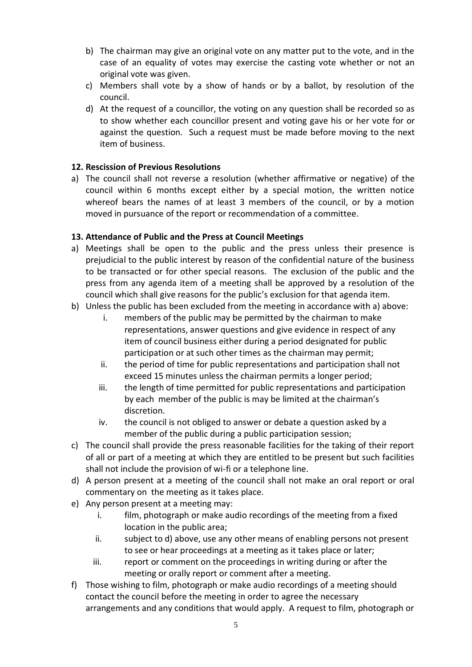- b) The chairman may give an original vote on any matter put to the vote, and in the case of an equality of votes may exercise the casting vote whether or not an original vote was given.
- c) Members shall vote by a show of hands or by a ballot, by resolution of the council.
- d) At the request of a councillor, the voting on any question shall be recorded so as to show whether each councillor present and voting gave his or her vote for or against the question. Such a request must be made before moving to the next item of business.

## **12. Rescission of Previous Resolutions**

a) The council shall not reverse a resolution (whether affirmative or negative) of the council within 6 months except either by a special motion, the written notice whereof bears the names of at least 3 members of the council, or by a motion moved in pursuance of the report or recommendation of a committee.

## **13. Attendance of Public and the Press at Council Meetings**

- a) Meetings shall be open to the public and the press unless their presence is prejudicial to the public interest by reason of the confidential nature of the business to be transacted or for other special reasons. The exclusion of the public and the press from any agenda item of a meeting shall be approved by a resolution of the council which shall give reasons for the public's exclusion for that agenda item.
- b) Unless the public has been excluded from the meeting in accordance with a) above:
	- i. members of the public may be permitted by the chairman to make representations, answer questions and give evidence in respect of any item of council business either during a period designated for public participation or at such other times as the chairman may permit;
	- ii. the period of time for public representations and participation shall not exceed 15 minutes unless the chairman permits a longer period;
	- iii. the length of time permitted for public representations and participation by each member of the public is may be limited at the chairman's discretion.
	- iv. the council is not obliged to answer or debate a question asked by a member of the public during a public participation session;
- c) The council shall provide the press reasonable facilities for the taking of their report of all or part of a meeting at which they are entitled to be present but such facilities shall not include the provision of wi-fi or a telephone line.
- d) A person present at a meeting of the council shall not make an oral report or oral commentary on the meeting as it takes place.
- e) Any person present at a meeting may:
	- i. film, photograph or make audio recordings of the meeting from a fixed location in the public area;
	- ii. subject to d) above, use any other means of enabling persons not present to see or hear proceedings at a meeting as it takes place or later;
	- iii. report or comment on the proceedings in writing during or after the meeting or orally report or comment after a meeting.
- f) Those wishing to film, photograph or make audio recordings of a meeting should contact the council before the meeting in order to agree the necessary arrangements and any conditions that would apply. A request to film, photograph or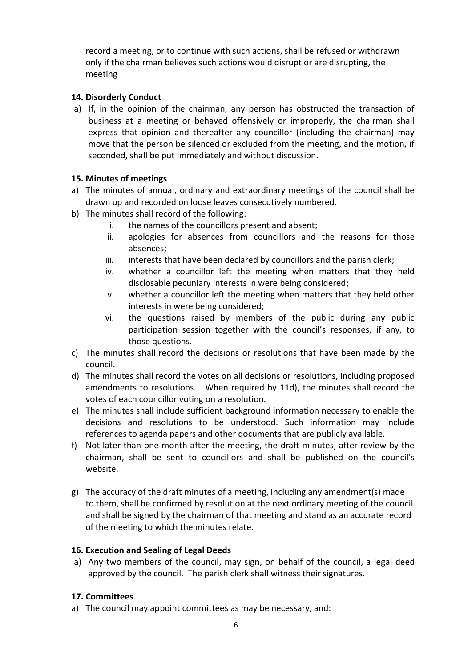record a meeting, or to continue with such actions, shall be refused or withdrawn only if the chairman believes such actions would disrupt or are disrupting, the meeting

## **14. Disorderly Conduct**

a) If, in the opinion of the chairman, any person has obstructed the transaction of business at a meeting or behaved offensively or improperly, the chairman shall express that opinion and thereafter any councillor (including the chairman) may move that the person be silenced or excluded from the meeting, and the motion, if seconded, shall be put immediately and without discussion.

## **15. Minutes of meetings**

- a) The minutes of annual, ordinary and extraordinary meetings of the council shall be drawn up and recorded on loose leaves consecutively numbered.
- b) The minutes shall record of the following:
	- i. the names of the councillors present and absent;
	- ii. apologies for absences from councillors and the reasons for those absences;
	- iii. interests that have been declared by councillors and the parish clerk;
	- iv. whether a councillor left the meeting when matters that they held disclosable pecuniary interests in were being considered;
	- v. whether a councillor left the meeting when matters that they held other interests in were being considered;
	- vi. the questions raised by members of the public during any public participation session together with the council's responses, if any, to those questions.
- c) The minutes shall record the decisions or resolutions that have been made by the council.
- d) The minutes shall record the votes on all decisions or resolutions, including proposed amendments to resolutions. When required by 11d), the minutes shall record the votes of each councillor voting on a resolution.
- e) The minutes shall include sufficient background information necessary to enable the decisions and resolutions to be understood. Such information may include references to agenda papers and other documents that are publicly available.
- f) Not later than one month after the meeting, the draft minutes, after review by the chairman, shall be sent to councillors and shall be published on the council's website.
- g) The accuracy of the draft minutes of a meeting, including any amendment(s) made to them, shall be confirmed by resolution at the next ordinary meeting of the council and shall be signed by the chairman of that meeting and stand as an accurate record of the meeting to which the minutes relate.

# **16. Execution and Sealing of Legal Deeds**

a) Any two members of the council, may sign, on behalf of the council, a legal deed approved by the council. The parish clerk shall witness their signatures.

# **17. Committees**

a) The council may appoint committees as may be necessary, and: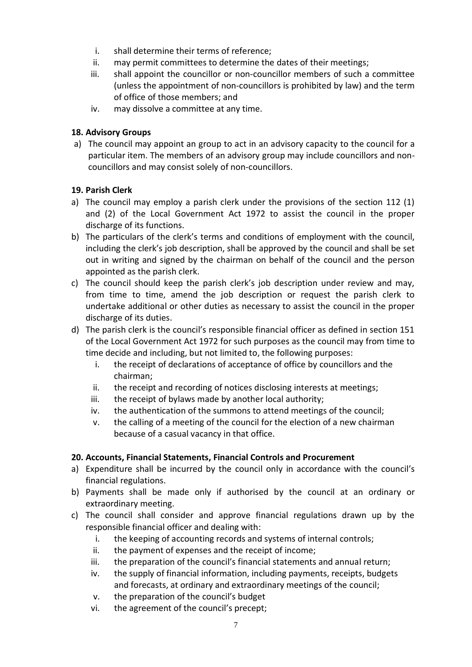- i. shall determine their terms of reference;
- ii. may permit committees to determine the dates of their meetings;
- iii. shall appoint the councillor or non-councillor members of such a committee (unless the appointment of non-councillors is prohibited by law) and the term of office of those members; and
- iv. may dissolve a committee at any time.

# **18. Advisory Groups**

a) The council may appoint an group to act in an advisory capacity to the council for a particular item. The members of an advisory group may include councillors and noncouncillors and may consist solely of non-councillors.

## **19. Parish Clerk**

- a) The council may employ a parish clerk under the provisions of the section 112 (1) and (2) of the Local Government Act 1972 to assist the council in the proper discharge of its functions.
- b) The particulars of the clerk's terms and conditions of employment with the council, including the clerk's job description, shall be approved by the council and shall be set out in writing and signed by the chairman on behalf of the council and the person appointed as the parish clerk.
- c) The council should keep the parish clerk's job description under review and may, from time to time, amend the job description or request the parish clerk to undertake additional or other duties as necessary to assist the council in the proper discharge of its duties.
- d) The parish clerk is the council's responsible financial officer as defined in section 151 of the Local Government Act 1972 for such purposes as the council may from time to time decide and including, but not limited to, the following purposes:
	- i. the receipt of declarations of acceptance of office by councillors and the chairman;
	- ii. the receipt and recording of notices disclosing interests at meetings;
	- iii. the receipt of bylaws made by another local authority;
	- iv. the authentication of the summons to attend meetings of the council;
	- v. the calling of a meeting of the council for the election of a new chairman because of a casual vacancy in that office.

# **20. Accounts, Financial Statements, Financial Controls and Procurement**

- a) Expenditure shall be incurred by the council only in accordance with the council's financial regulations.
- b) Payments shall be made only if authorised by the council at an ordinary or extraordinary meeting.
- c) The council shall consider and approve financial regulations drawn up by the responsible financial officer and dealing with:
	- i. the keeping of accounting records and systems of internal controls;
	- ii. the payment of expenses and the receipt of income;
	- iii. the preparation of the council's financial statements and annual return;
	- iv. the supply of financial information, including payments, receipts, budgets and forecasts, at ordinary and extraordinary meetings of the council;
	- v. the preparation of the council's budget
	- vi. the agreement of the council's precept;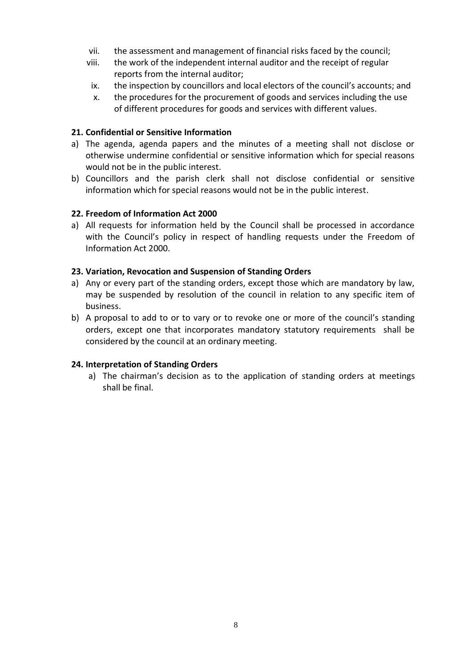- vii. the assessment and management of financial risks faced by the council;
- viii. the work of the independent internal auditor and the receipt of regular reports from the internal auditor;
- ix. the inspection by councillors and local electors of the council's accounts; and
- x. the procedures for the procurement of goods and services including the use of different procedures for goods and services with different values.

#### **21. Confidential or Sensitive Information**

- a) The agenda, agenda papers and the minutes of a meeting shall not disclose or otherwise undermine confidential or sensitive information which for special reasons would not be in the public interest.
- b) Councillors and the parish clerk shall not disclose confidential or sensitive information which for special reasons would not be in the public interest.

#### **22. Freedom of Information Act 2000**

a) All requests for information held by the Council shall be processed in accordance with the Council's policy in respect of handling requests under the Freedom of Information Act 2000.

### **23. Variation, Revocation and Suspension of Standing Orders**

- a) Any or every part of the standing orders, except those which are mandatory by law, may be suspended by resolution of the council in relation to any specific item of business.
- b) A proposal to add to or to vary or to revoke one or more of the council's standing orders, except one that incorporates mandatory statutory requirements shall be considered by the council at an ordinary meeting.

#### **24. Interpretation of Standing Orders**

a) The chairman's decision as to the application of standing orders at meetings shall be final.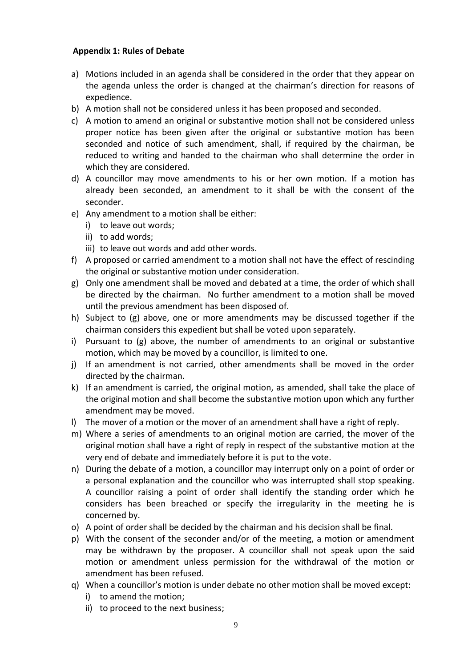### **Appendix 1: Rules of Debate**

- a) Motions included in an agenda shall be considered in the order that they appear on the agenda unless the order is changed at the chairman's direction for reasons of expedience.
- b) A motion shall not be considered unless it has been proposed and seconded.
- c) A motion to amend an original or substantive motion shall not be considered unless proper notice has been given after the original or substantive motion has been seconded and notice of such amendment, shall, if required by the chairman, be reduced to writing and handed to the chairman who shall determine the order in which they are considered.
- d) A councillor may move amendments to his or her own motion. If a motion has already been seconded, an amendment to it shall be with the consent of the seconder.
- e) Any amendment to a motion shall be either:
	- i) to leave out words;
	- ii) to add words;
	- iii) to leave out words and add other words.
- f) A proposed or carried amendment to a motion shall not have the effect of rescinding the original or substantive motion under consideration.
- g) Only one amendment shall be moved and debated at a time, the order of which shall be directed by the chairman. No further amendment to a motion shall be moved until the previous amendment has been disposed of.
- h) Subject to (g) above, one or more amendments may be discussed together if the chairman considers this expedient but shall be voted upon separately.
- i) Pursuant to (g) above, the number of amendments to an original or substantive motion, which may be moved by a councillor, is limited to one.
- j) If an amendment is not carried, other amendments shall be moved in the order directed by the chairman.
- k) If an amendment is carried, the original motion, as amended, shall take the place of the original motion and shall become the substantive motion upon which any further amendment may be moved.
- l) The mover of a motion or the mover of an amendment shall have a right of reply.
- m) Where a series of amendments to an original motion are carried, the mover of the original motion shall have a right of reply in respect of the substantive motion at the very end of debate and immediately before it is put to the vote.
- n) During the debate of a motion, a councillor may interrupt only on a point of order or a personal explanation and the councillor who was interrupted shall stop speaking. A councillor raising a point of order shall identify the standing order which he considers has been breached or specify the irregularity in the meeting he is concerned by.
- o) A point of order shall be decided by the chairman and his decision shall be final.
- p) With the consent of the seconder and/or of the meeting, a motion or amendment may be withdrawn by the proposer. A councillor shall not speak upon the said motion or amendment unless permission for the withdrawal of the motion or amendment has been refused.
- q) When a councillor's motion is under debate no other motion shall be moved except:
	- i) to amend the motion;
	- ii) to proceed to the next business;